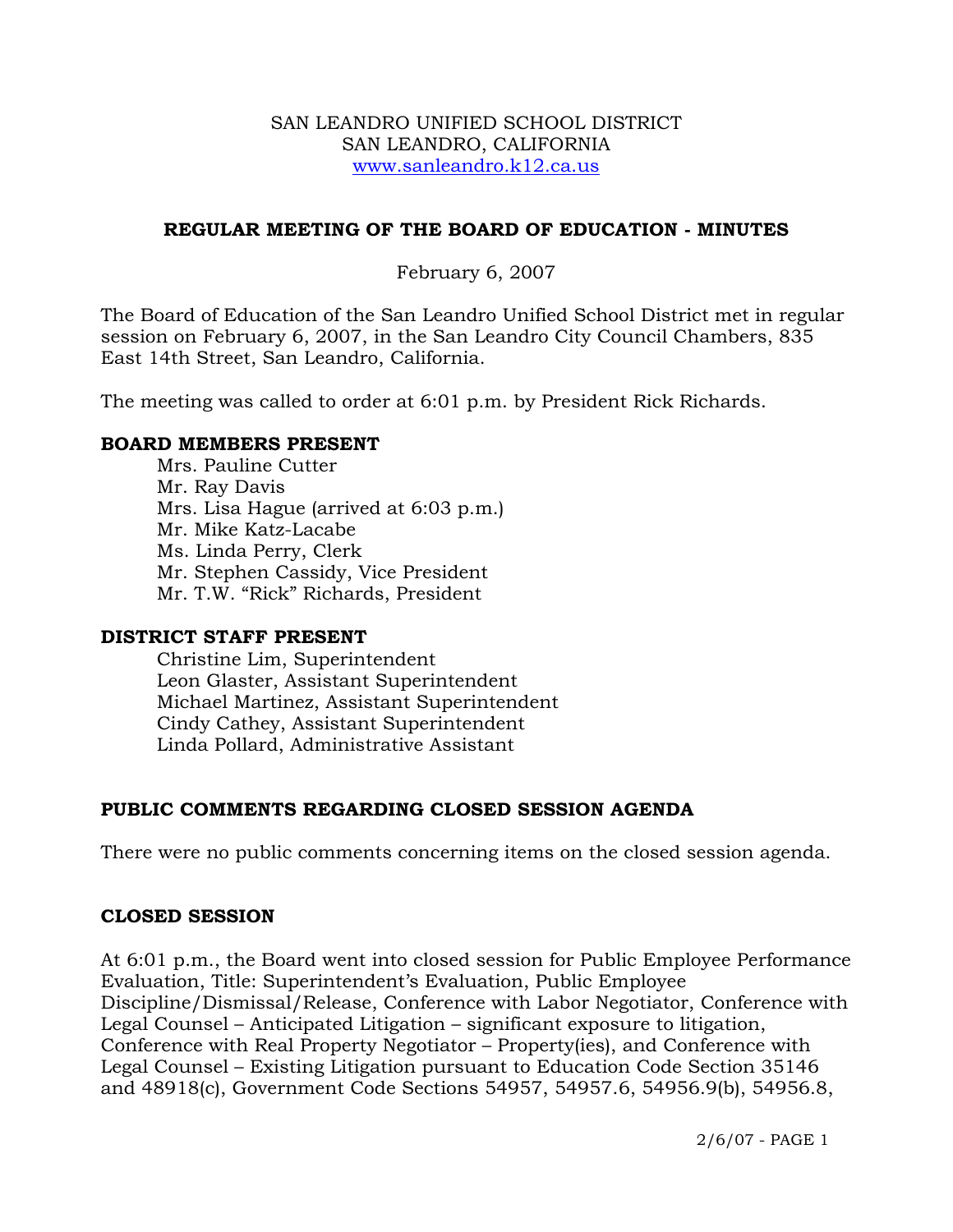#### SAN LEANDRO UNIFIED SCHOOL DISTRICT SAN LEANDRO, CALIFORNIA www.sanleandro.k12.ca.us

#### **REGULAR MEETING OF THE BOARD OF EDUCATION - MINUTES**

#### February 6, 2007

The Board of Education of the San Leandro Unified School District met in regular session on February 6, 2007, in the San Leandro City Council Chambers, 835 East 14th Street, San Leandro, California.

The meeting was called to order at 6:01 p.m. by President Rick Richards.

#### **BOARD MEMBERS PRESENT**

Mrs. Pauline Cutter Mr. Ray Davis Mrs. Lisa Hague (arrived at 6:03 p.m.) Mr. Mike Katz-Lacabe Ms. Linda Perry, Clerk Mr. Stephen Cassidy, Vice President Mr. T.W. "Rick" Richards, President

#### **DISTRICT STAFF PRESENT**

Christine Lim, Superintendent Leon Glaster, Assistant Superintendent Michael Martinez, Assistant Superintendent Cindy Cathey, Assistant Superintendent Linda Pollard, Administrative Assistant

## **PUBLIC COMMENTS REGARDING CLOSED SESSION AGENDA**

There were no public comments concerning items on the closed session agenda.

#### **CLOSED SESSION**

At 6:01 p.m., the Board went into closed session for Public Employee Performance Evaluation, Title: Superintendent's Evaluation, Public Employee Discipline/Dismissal/Release, Conference with Labor Negotiator, Conference with Legal Counsel – Anticipated Litigation – significant exposure to litigation, Conference with Real Property Negotiator – Property(ies), and Conference with Legal Counsel – Existing Litigation pursuant to Education Code Section 35146 and 48918(c), Government Code Sections 54957, 54957.6, 54956.9(b), 54956.8,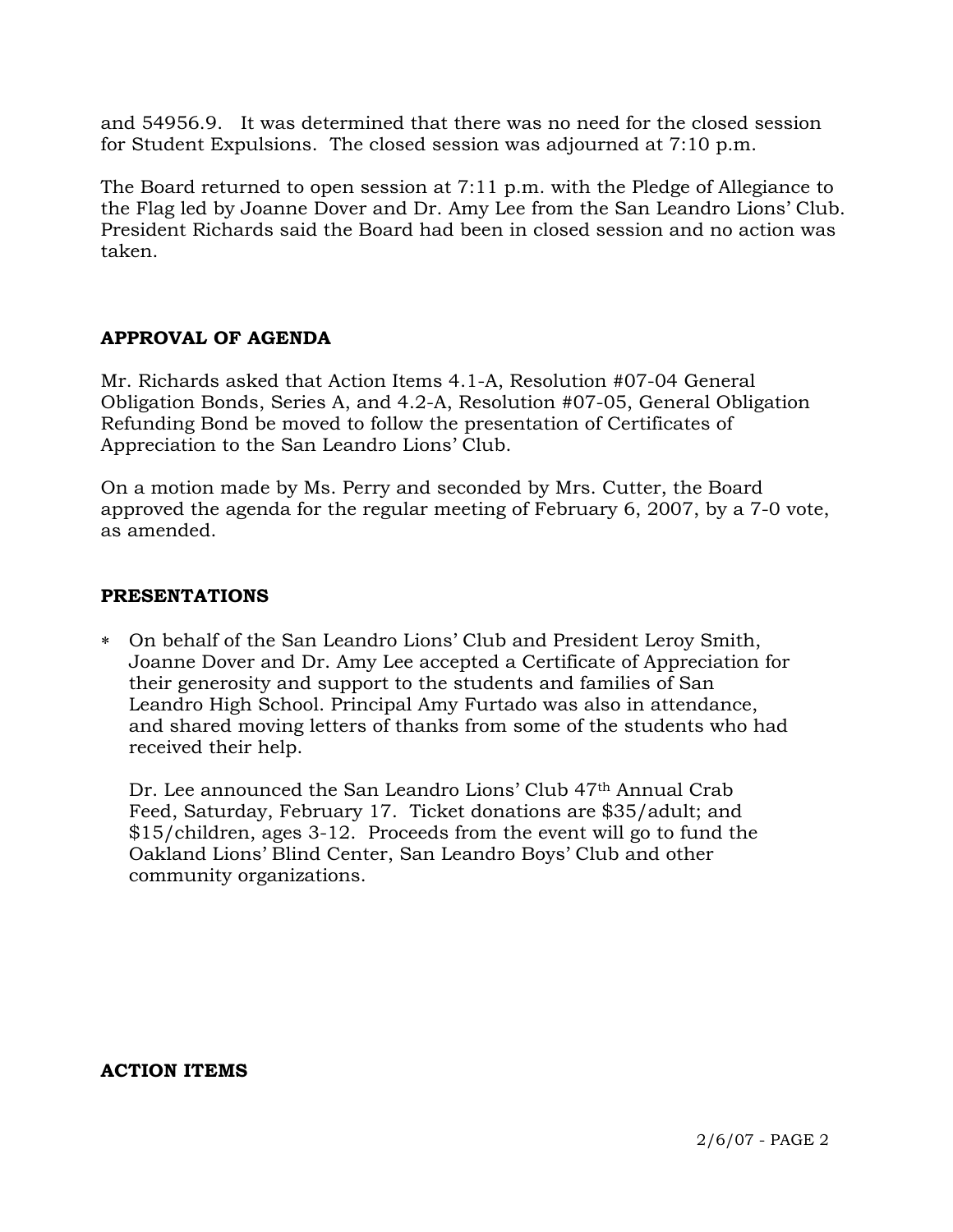and 54956.9. It was determined that there was no need for the closed session for Student Expulsions. The closed session was adjourned at 7:10 p.m.

The Board returned to open session at 7:11 p.m. with the Pledge of Allegiance to the Flag led by Joanne Dover and Dr. Amy Lee from the San Leandro Lions' Club. President Richards said the Board had been in closed session and no action was taken.

# **APPROVAL OF AGENDA**

Mr. Richards asked that Action Items 4.1-A, Resolution #07-04 General Obligation Bonds, Series A, and 4.2-A, Resolution #07-05, General Obligation Refunding Bond be moved to follow the presentation of Certificates of Appreciation to the San Leandro Lions' Club.

On a motion made by Ms. Perry and seconded by Mrs. Cutter, the Board approved the agenda for the regular meeting of February 6, 2007, by a 7-0 vote, as amended.

## **PRESENTATIONS**

∗ On behalf of the San Leandro Lions' Club and President Leroy Smith, Joanne Dover and Dr. Amy Lee accepted a Certificate of Appreciation for their generosity and support to the students and families of San Leandro High School. Principal Amy Furtado was also in attendance, and shared moving letters of thanks from some of the students who had received their help.

Dr. Lee announced the San Leandro Lions' Club 47<sup>th</sup> Annual Crab Feed, Saturday, February 17. Ticket donations are \$35/adult; and \$15/children, ages 3-12. Proceeds from the event will go to fund the Oakland Lions' Blind Center, San Leandro Boys' Club and other community organizations.

**ACTION ITEMS**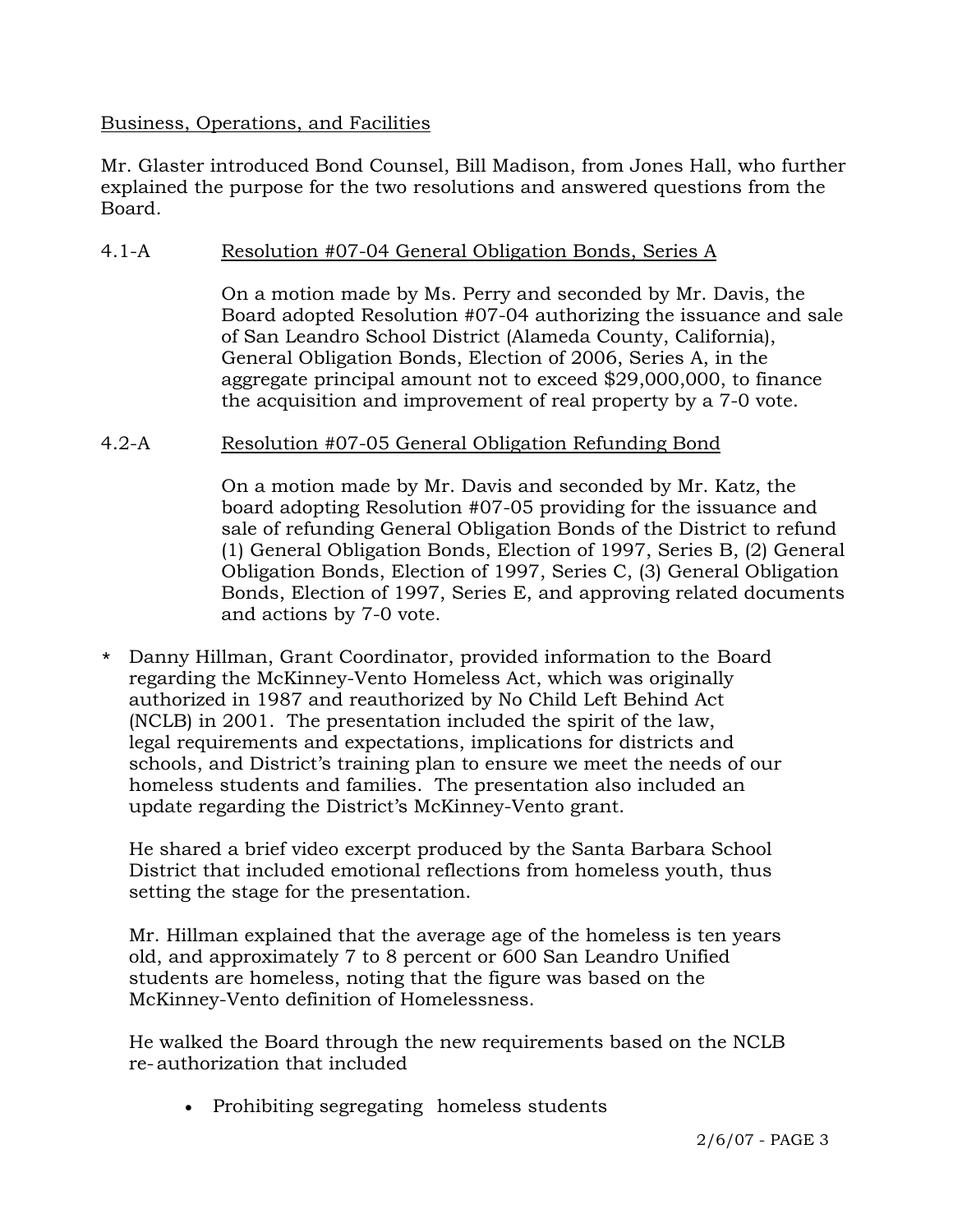## Business, Operations, and Facilities

Mr. Glaster introduced Bond Counsel, Bill Madison, from Jones Hall, who further explained the purpose for the two resolutions and answered questions from the Board.

# 4.1-A Resolution #07-04 General Obligation Bonds, Series A

On a motion made by Ms. Perry and seconded by Mr. Davis, the Board adopted Resolution #07-04 authorizing the issuance and sale of San Leandro School District (Alameda County, California), General Obligation Bonds, Election of 2006, Series A, in the aggregate principal amount not to exceed \$29,000,000, to finance the acquisition and improvement of real property by a 7-0 vote.

# 4.2-A Resolution #07-05 General Obligation Refunding Bond

On a motion made by Mr. Davis and seconded by Mr. Katz, the board adopting Resolution #07-05 providing for the issuance and sale of refunding General Obligation Bonds of the District to refund (1) General Obligation Bonds, Election of 1997, Series B, (2) General Obligation Bonds, Election of 1997, Series C, (3) General Obligation Bonds, Election of 1997, Series E, and approving related documents and actions by 7-0 vote.

\* Danny Hillman, Grant Coordinator, provided information to the Board regarding the McKinney-Vento Homeless Act, which was originally authorized in 1987 and reauthorized by No Child Left Behind Act (NCLB) in 2001. The presentation included the spirit of the law, legal requirements and expectations, implications for districts and schools, and District's training plan to ensure we meet the needs of our homeless students and families. The presentation also included an update regarding the District's McKinney-Vento grant.

 He shared a brief video excerpt produced by the Santa Barbara School District that included emotional reflections from homeless youth, thus setting the stage for the presentation.

 Mr. Hillman explained that the average age of the homeless is ten years old, and approximately 7 to 8 percent or 600 San Leandro Unified students are homeless, noting that the figure was based on the McKinney-Vento definition of Homelessness.

 He walked the Board through the new requirements based on the NCLB re- authorization that included

• Prohibiting segregating homeless students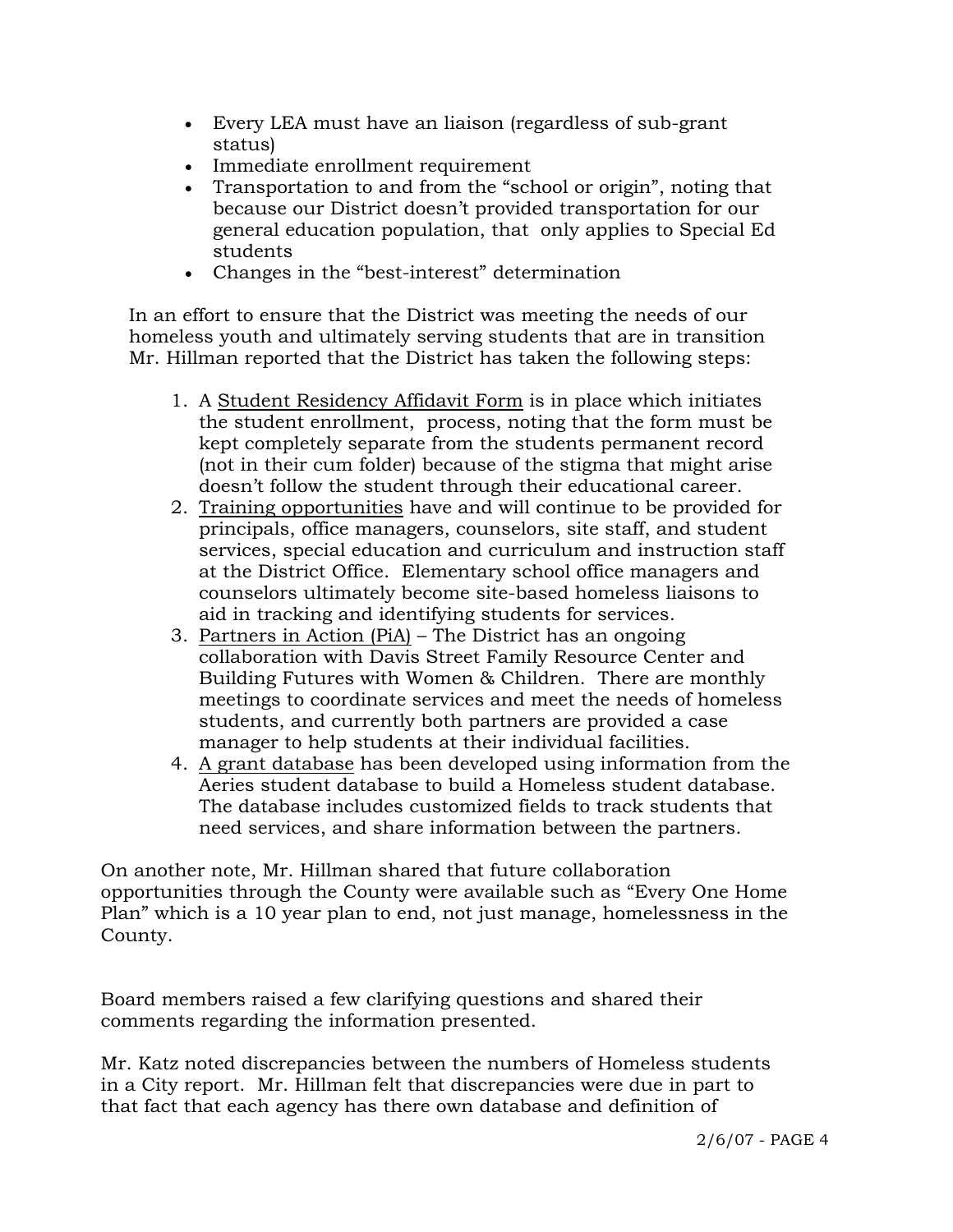- Every LEA must have an liaison (regardless of sub-grant status)
- Immediate enrollment requirement
- Transportation to and from the "school or origin", noting that because our District doesn't provided transportation for our general education population, that only applies to Special Ed students
- Changes in the "best-interest" determination

 In an effort to ensure that the District was meeting the needs of our homeless youth and ultimately serving students that are in transition Mr. Hillman reported that the District has taken the following steps:

- 1. A Student Residency Affidavit Form is in place which initiates the student enrollment, process, noting that the form must be kept completely separate from the students permanent record (not in their cum folder) because of the stigma that might arise doesn't follow the student through their educational career.
- 2. Training opportunities have and will continue to be provided for principals, office managers, counselors, site staff, and student services, special education and curriculum and instruction staff at the District Office. Elementary school office managers and counselors ultimately become site-based homeless liaisons to aid in tracking and identifying students for services.
- 3. Partners in Action (PiA) The District has an ongoing collaboration with Davis Street Family Resource Center and Building Futures with Women & Children. There are monthly meetings to coordinate services and meet the needs of homeless students, and currently both partners are provided a case manager to help students at their individual facilities.
- 4. A grant database has been developed using information from the Aeries student database to build a Homeless student database. The database includes customized fields to track students that need services, and share information between the partners.

On another note, Mr. Hillman shared that future collaboration opportunities through the County were available such as "Every One Home Plan" which is a 10 year plan to end, not just manage, homelessness in the County.

Board members raised a few clarifying questions and shared their comments regarding the information presented.

Mr. Katz noted discrepancies between the numbers of Homeless students in a City report. Mr. Hillman felt that discrepancies were due in part to that fact that each agency has there own database and definition of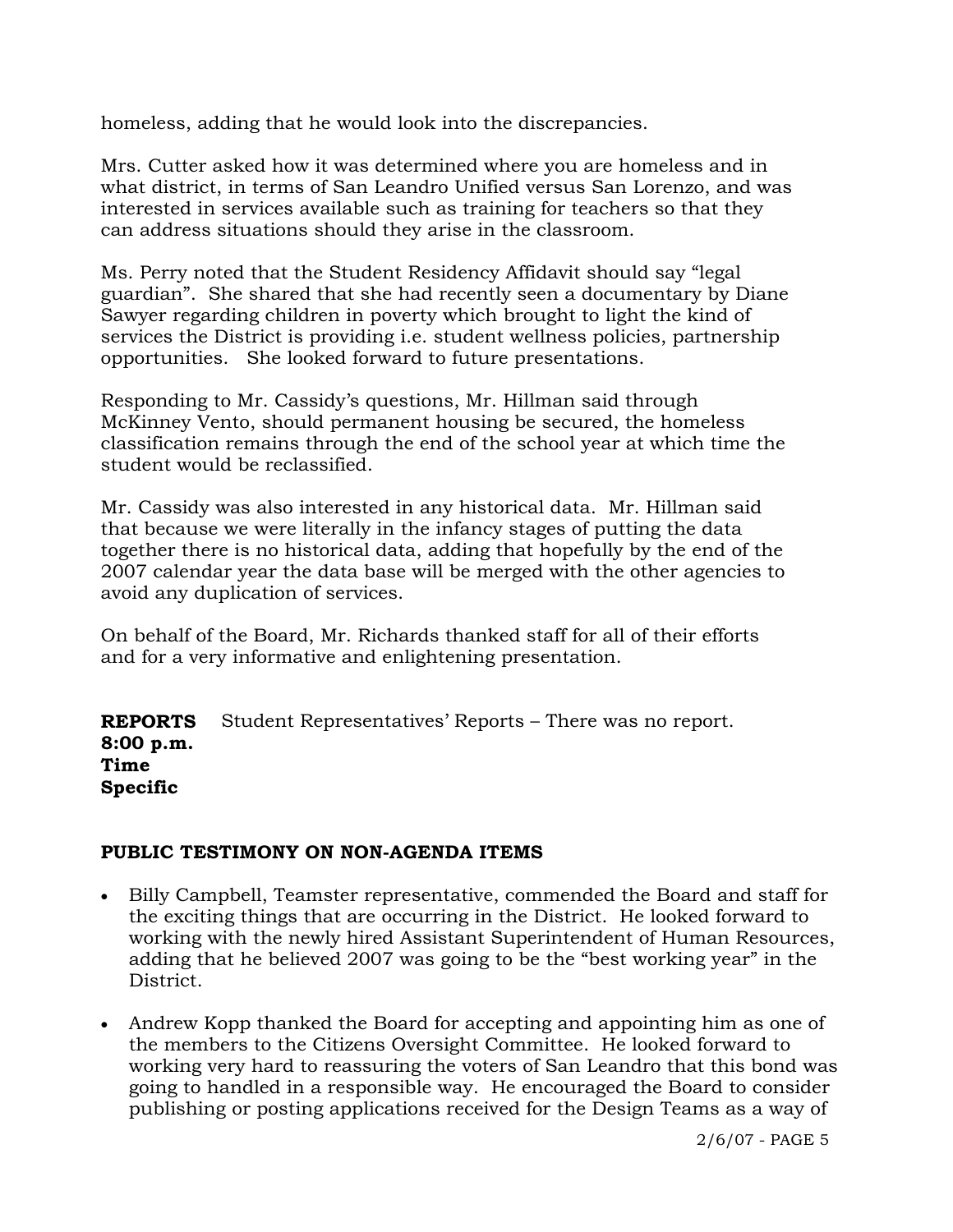homeless, adding that he would look into the discrepancies.

Mrs. Cutter asked how it was determined where you are homeless and in what district, in terms of San Leandro Unified versus San Lorenzo, and was interested in services available such as training for teachers so that they can address situations should they arise in the classroom.

Ms. Perry noted that the Student Residency Affidavit should say "legal guardian". She shared that she had recently seen a documentary by Diane Sawyer regarding children in poverty which brought to light the kind of services the District is providing i.e. student wellness policies, partnership opportunities. She looked forward to future presentations.

Responding to Mr. Cassidy's questions, Mr. Hillman said through McKinney Vento, should permanent housing be secured, the homeless classification remains through the end of the school year at which time the student would be reclassified.

Mr. Cassidy was also interested in any historical data. Mr. Hillman said that because we were literally in the infancy stages of putting the data together there is no historical data, adding that hopefully by the end of the 2007 calendar year the data base will be merged with the other agencies to avoid any duplication of services.

On behalf of the Board, Mr. Richards thanked staff for all of their efforts and for a very informative and enlightening presentation.

**REPORTS 8:00 p.m. Time Specific**  Student Representatives' Reports – There was no report.

# **PUBLIC TESTIMONY ON NON-AGENDA ITEMS**

- Billy Campbell, Teamster representative, commended the Board and staff for the exciting things that are occurring in the District. He looked forward to working with the newly hired Assistant Superintendent of Human Resources, adding that he believed 2007 was going to be the "best working year" in the District.
- Andrew Kopp thanked the Board for accepting and appointing him as one of the members to the Citizens Oversight Committee. He looked forward to working very hard to reassuring the voters of San Leandro that this bond was going to handled in a responsible way. He encouraged the Board to consider publishing or posting applications received for the Design Teams as a way of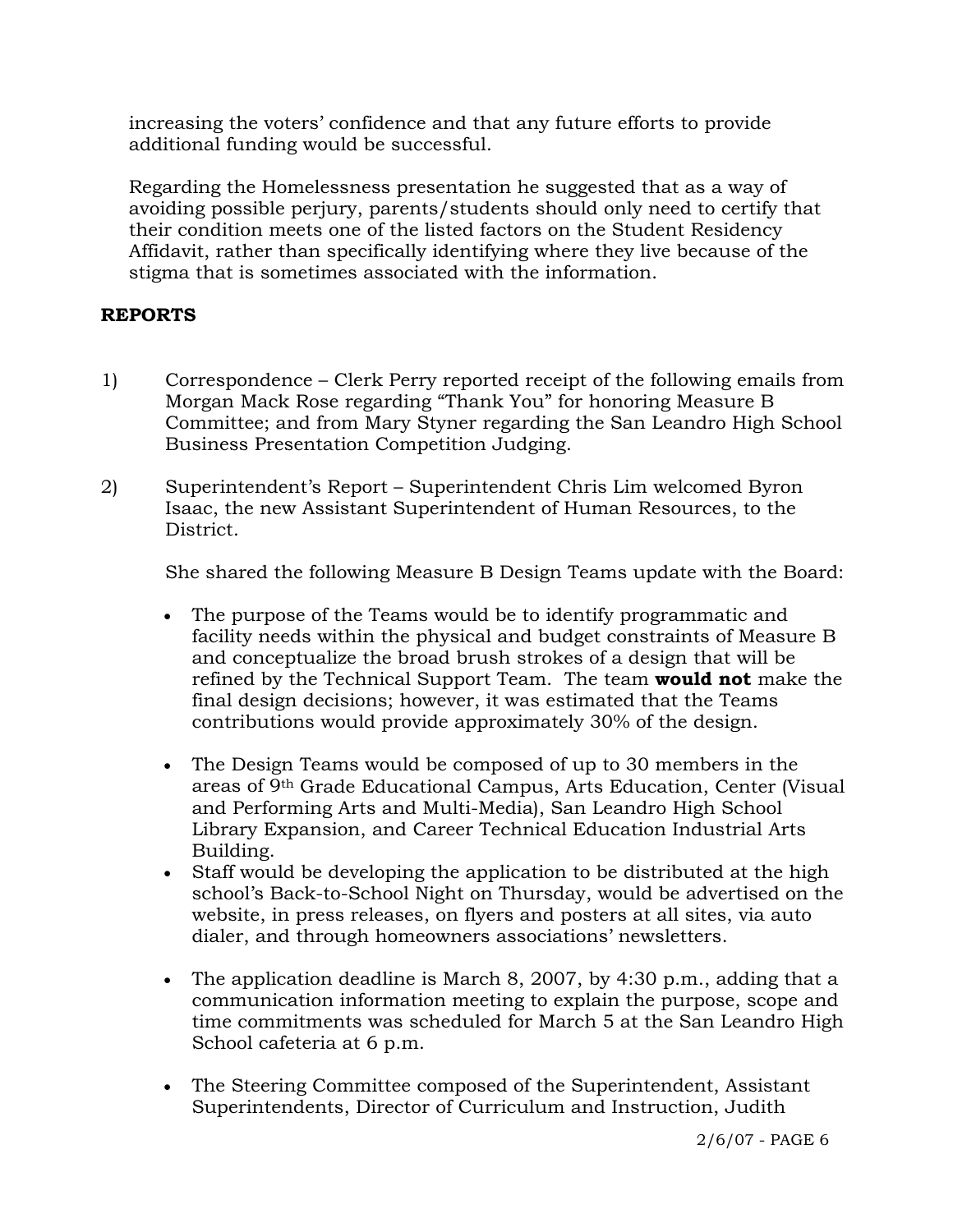increasing the voters' confidence and that any future efforts to provide additional funding would be successful.

 Regarding the Homelessness presentation he suggested that as a way of avoiding possible perjury, parents/students should only need to certify that their condition meets one of the listed factors on the Student Residency Affidavit, rather than specifically identifying where they live because of the stigma that is sometimes associated with the information.

# **REPORTS**

- 1) Correspondence Clerk Perry reported receipt of the following emails from Morgan Mack Rose regarding "Thank You" for honoring Measure B Committee; and from Mary Styner regarding the San Leandro High School Business Presentation Competition Judging.
- 2) Superintendent's Report Superintendent Chris Lim welcomed Byron Isaac, the new Assistant Superintendent of Human Resources, to the District.

She shared the following Measure B Design Teams update with the Board:

- The purpose of the Teams would be to identify programmatic and facility needs within the physical and budget constraints of Measure B and conceptualize the broad brush strokes of a design that will be refined by the Technical Support Team. The team **would not** make the final design decisions; however, it was estimated that the Teams contributions would provide approximately 30% of the design.
- The Design Teams would be composed of up to 30 members in the areas of 9th Grade Educational Campus, Arts Education, Center (Visual and Performing Arts and Multi-Media), San Leandro High School Library Expansion, and Career Technical Education Industrial Arts Building.
- Staff would be developing the application to be distributed at the high school's Back-to-School Night on Thursday, would be advertised on the website, in press releases, on flyers and posters at all sites, via auto dialer, and through homeowners associations' newsletters.
- The application deadline is March 8, 2007, by 4:30 p.m., adding that a communication information meeting to explain the purpose, scope and time commitments was scheduled for March 5 at the San Leandro High School cafeteria at 6 p.m.
- The Steering Committee composed of the Superintendent, Assistant Superintendents, Director of Curriculum and Instruction, Judith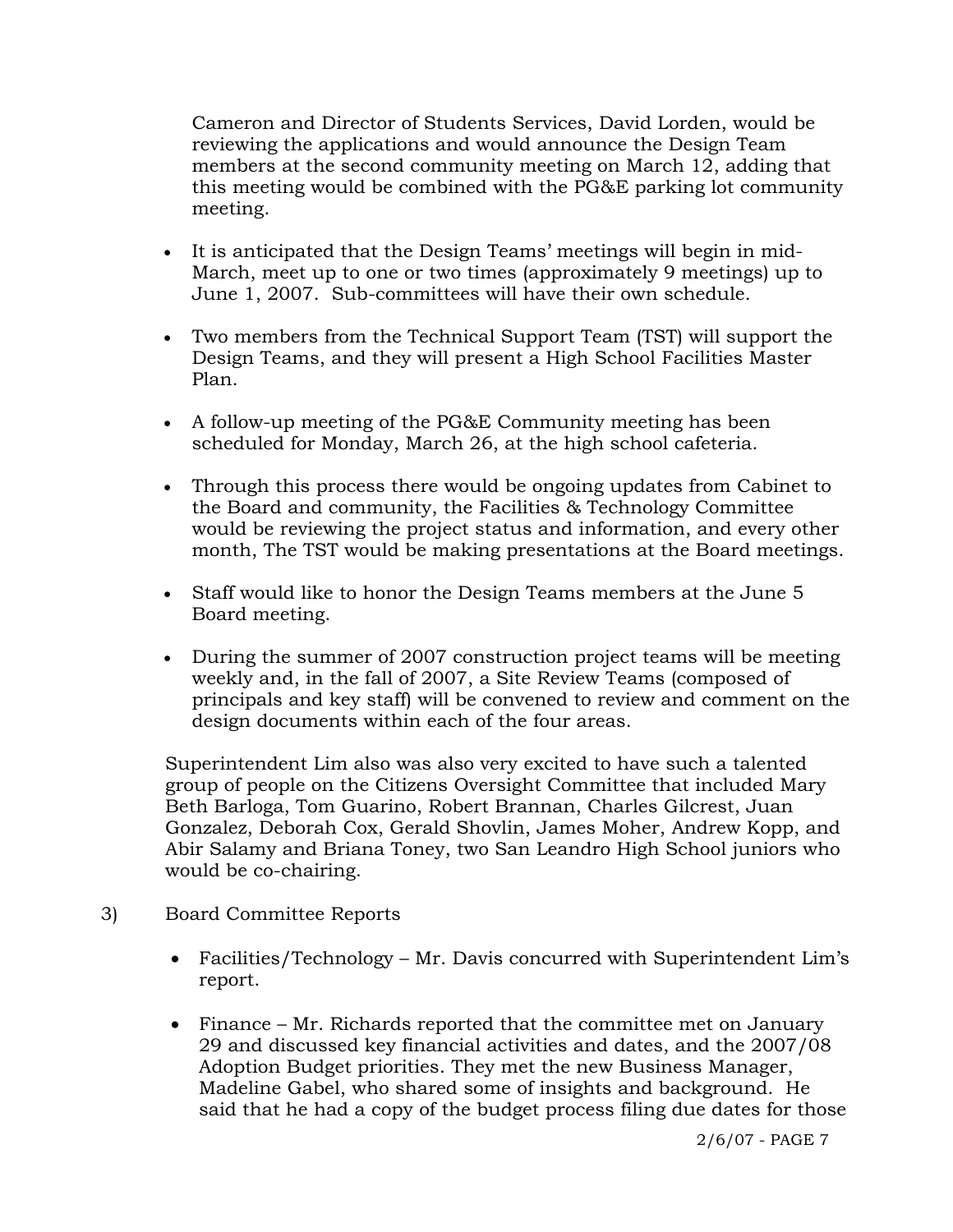Cameron and Director of Students Services, David Lorden, would be reviewing the applications and would announce the Design Team members at the second community meeting on March 12, adding that this meeting would be combined with the PG&E parking lot community meeting.

- It is anticipated that the Design Teams' meetings will begin in mid-March, meet up to one or two times (approximately 9 meetings) up to June 1, 2007. Sub-committees will have their own schedule.
- Two members from the Technical Support Team (TST) will support the Design Teams, and they will present a High School Facilities Master Plan.
- A follow-up meeting of the PG&E Community meeting has been scheduled for Monday, March 26, at the high school cafeteria.
- Through this process there would be ongoing updates from Cabinet to the Board and community, the Facilities & Technology Committee would be reviewing the project status and information, and every other month, The TST would be making presentations at the Board meetings.
- Staff would like to honor the Design Teams members at the June 5 Board meeting.
- During the summer of 2007 construction project teams will be meeting weekly and, in the fall of 2007, a Site Review Teams (composed of principals and key staff) will be convened to review and comment on the design documents within each of the four areas.

Superintendent Lim also was also very excited to have such a talented group of people on the Citizens Oversight Committee that included Mary Beth Barloga, Tom Guarino, Robert Brannan, Charles Gilcrest, Juan Gonzalez, Deborah Cox, Gerald Shovlin, James Moher, Andrew Kopp, and Abir Salamy and Briana Toney, two San Leandro High School juniors who would be co-chairing.

- 3) Board Committee Reports
	- Facilities/Technology Mr. Davis concurred with Superintendent Lim's report.
	- Finance Mr. Richards reported that the committee met on January 29 and discussed key financial activities and dates, and the 2007/08 Adoption Budget priorities. They met the new Business Manager, Madeline Gabel, who shared some of insights and background. He said that he had a copy of the budget process filing due dates for those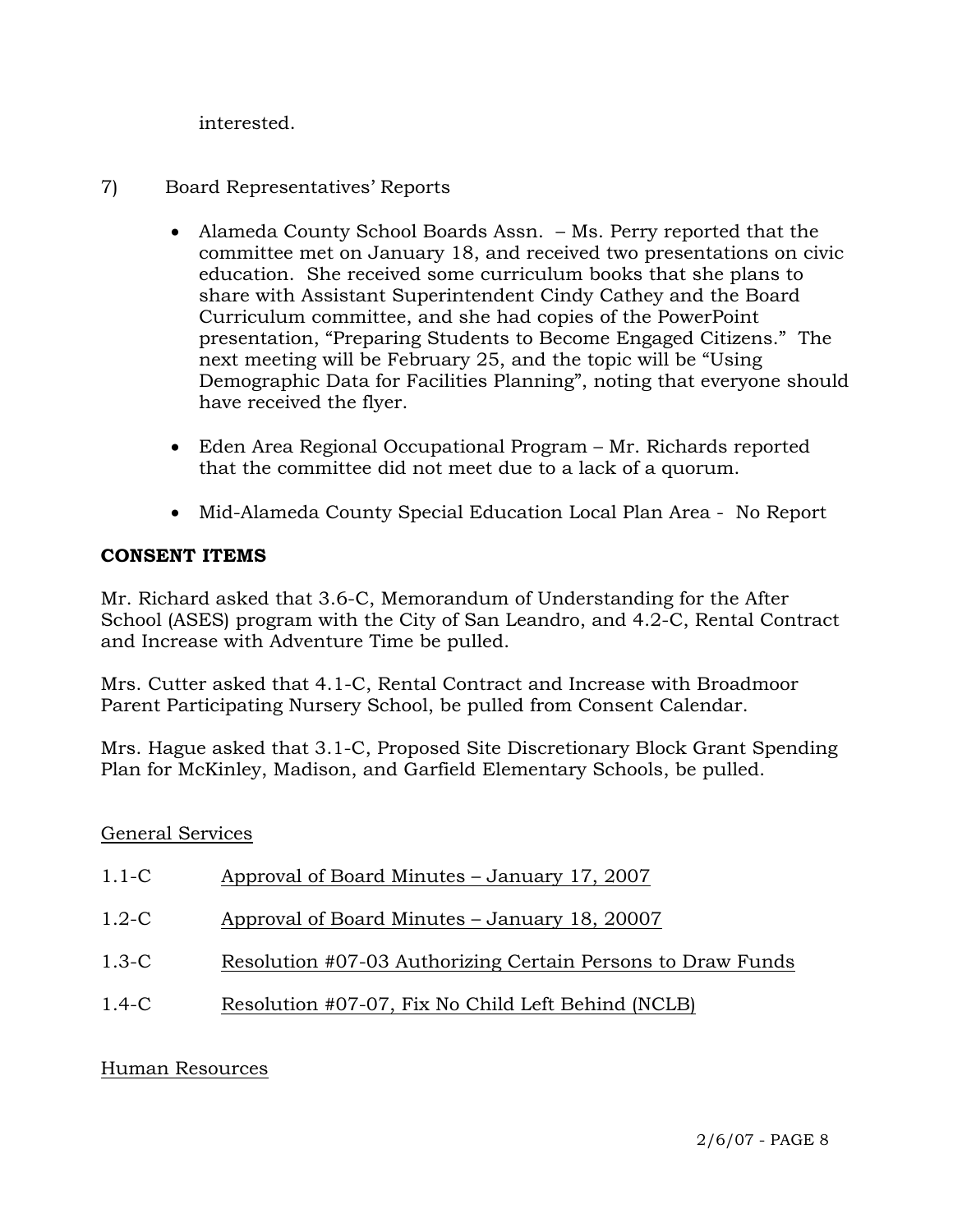interested.

- 7) Board Representatives' Reports
	- Alameda County School Boards Assn. Ms. Perry reported that the committee met on January 18, and received two presentations on civic education. She received some curriculum books that she plans to share with Assistant Superintendent Cindy Cathey and the Board Curriculum committee, and she had copies of the PowerPoint presentation, "Preparing Students to Become Engaged Citizens." The next meeting will be February 25, and the topic will be "Using Demographic Data for Facilities Planning", noting that everyone should have received the flyer.
	- Eden Area Regional Occupational Program Mr. Richards reported that the committee did not meet due to a lack of a quorum.
	- Mid-Alameda County Special Education Local Plan Area No Report

# **CONSENT ITEMS**

Mr. Richard asked that 3.6-C, Memorandum of Understanding for the After School (ASES) program with the City of San Leandro, and 4.2-C, Rental Contract and Increase with Adventure Time be pulled.

Mrs. Cutter asked that 4.1-C, Rental Contract and Increase with Broadmoor Parent Participating Nursery School, be pulled from Consent Calendar.

Mrs. Hague asked that 3.1-C, Proposed Site Discretionary Block Grant Spending Plan for McKinley, Madison, and Garfield Elementary Schools, be pulled.

## General Services

| $1.1-C$ | Approval of Board Minutes – January 17, 2007                |
|---------|-------------------------------------------------------------|
| $1.2-C$ | Approval of Board Minutes – January 18, 20007               |
| $1.3-C$ | Resolution #07-03 Authorizing Certain Persons to Draw Funds |
| $1.4-C$ | Resolution #07-07, Fix No Child Left Behind (NCLB)          |

## Human Resources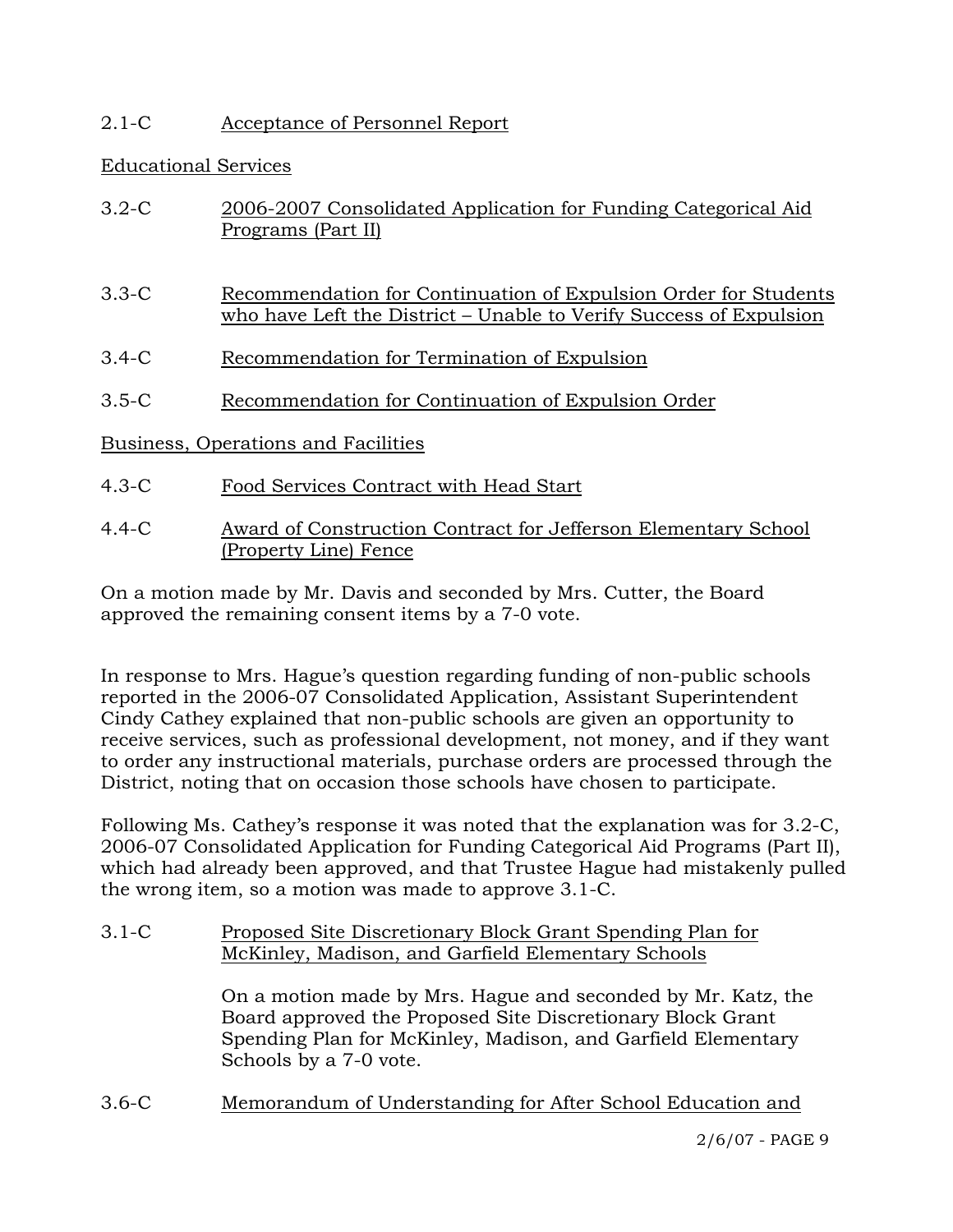# 2.1-C Acceptance of Personnel Report

## Educational Services

| $3.2 - C$                           | 2006-2007 Consolidated Application for Funding Categorical Aid<br>Programs (Part II)                                                  |
|-------------------------------------|---------------------------------------------------------------------------------------------------------------------------------------|
| $3.3 - C$                           | Recommendation for Continuation of Expulsion Order for Students<br>who have Left the District – Unable to Verify Success of Expulsion |
| $3.4-C$                             | Recommendation for Termination of Expulsion                                                                                           |
| $3.5 - C$                           | Recommendation for Continuation of Expulsion Order                                                                                    |
| Business, Operations and Facilities |                                                                                                                                       |
| $4.3 - C$                           | Food Services Contract with Head Start                                                                                                |

4.4-C Award of Construction Contract for Jefferson Elementary School (Property Line) Fence

On a motion made by Mr. Davis and seconded by Mrs. Cutter, the Board approved the remaining consent items by a 7-0 vote.

In response to Mrs. Hague's question regarding funding of non-public schools reported in the 2006-07 Consolidated Application, Assistant Superintendent Cindy Cathey explained that non-public schools are given an opportunity to receive services, such as professional development, not money, and if they want to order any instructional materials, purchase orders are processed through the District, noting that on occasion those schools have chosen to participate.

Following Ms. Cathey's response it was noted that the explanation was for 3.2-C, 2006-07 Consolidated Application for Funding Categorical Aid Programs (Part II), which had already been approved, and that Trustee Hague had mistakenly pulled the wrong item, so a motion was made to approve 3.1-C.

## 3.1-C Proposed Site Discretionary Block Grant Spending Plan for McKinley, Madison, and Garfield Elementary Schools

On a motion made by Mrs. Hague and seconded by Mr. Katz, the Board approved the Proposed Site Discretionary Block Grant Spending Plan for McKinley, Madison, and Garfield Elementary Schools by a 7-0 vote.

3.6-C Memorandum of Understanding for After School Education and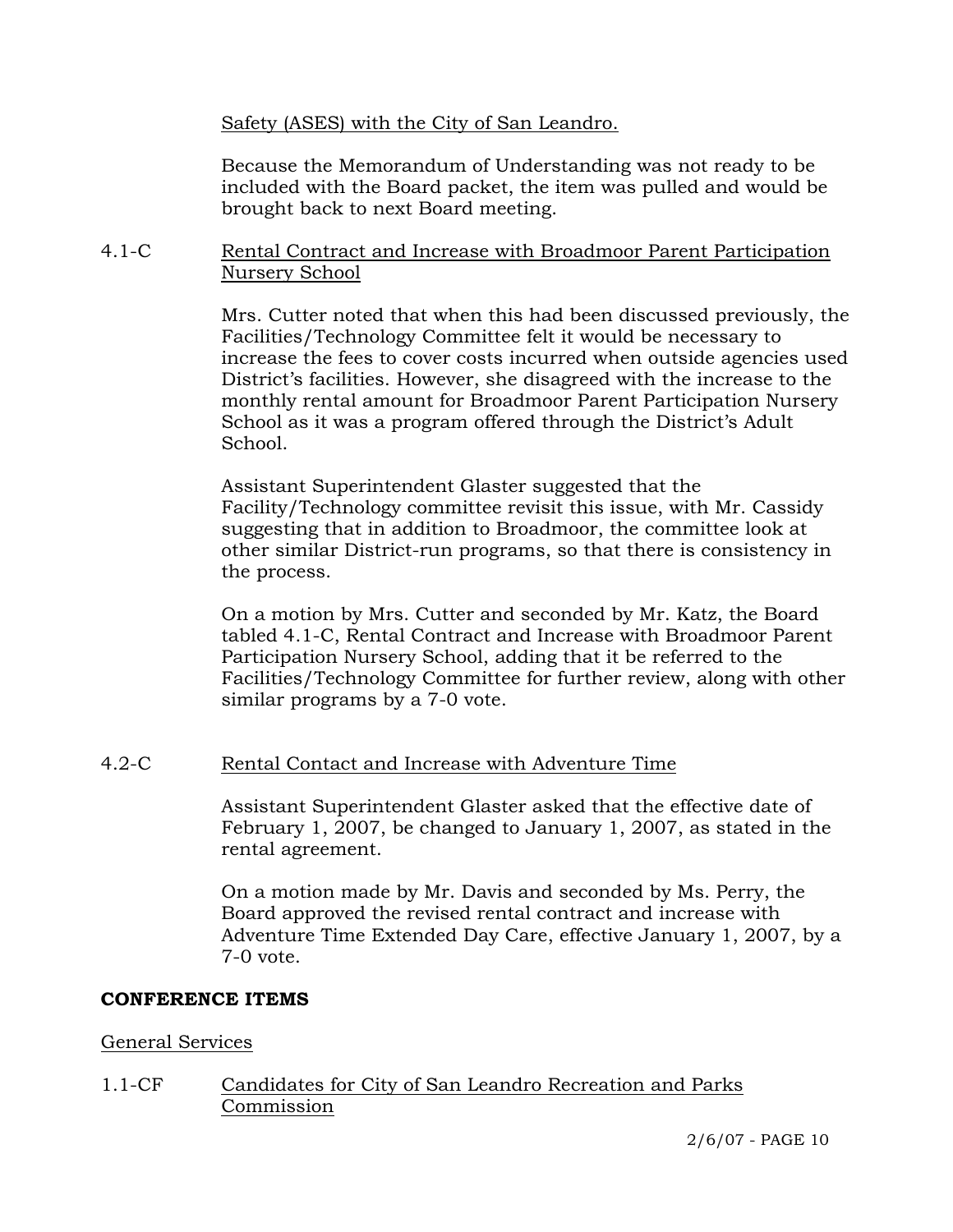Safety (ASES) with the City of San Leandro.

Because the Memorandum of Understanding was not ready to be included with the Board packet, the item was pulled and would be brought back to next Board meeting.

#### 4.1-C Rental Contract and Increase with Broadmoor Parent Participation Nursery School

Mrs. Cutter noted that when this had been discussed previously, the Facilities/Technology Committee felt it would be necessary to increase the fees to cover costs incurred when outside agencies used District's facilities. However, she disagreed with the increase to the monthly rental amount for Broadmoor Parent Participation Nursery School as it was a program offered through the District's Adult School.

Assistant Superintendent Glaster suggested that the Facility/Technology committee revisit this issue, with Mr. Cassidy suggesting that in addition to Broadmoor, the committee look at other similar District-run programs, so that there is consistency in the process.

On a motion by Mrs. Cutter and seconded by Mr. Katz, the Board tabled 4.1-C, Rental Contract and Increase with Broadmoor Parent Participation Nursery School, adding that it be referred to the Facilities/Technology Committee for further review, along with other similar programs by a 7-0 vote.

## 4.2-C Rental Contact and Increase with Adventure Time

Assistant Superintendent Glaster asked that the effective date of February 1, 2007, be changed to January 1, 2007, as stated in the rental agreement.

On a motion made by Mr. Davis and seconded by Ms. Perry, the Board approved the revised rental contract and increase with Adventure Time Extended Day Care, effective January 1, 2007, by a 7-0 vote.

#### **CONFERENCE ITEMS**

#### General Services

1.1-CF Candidates for City of San Leandro Recreation and Parks Commission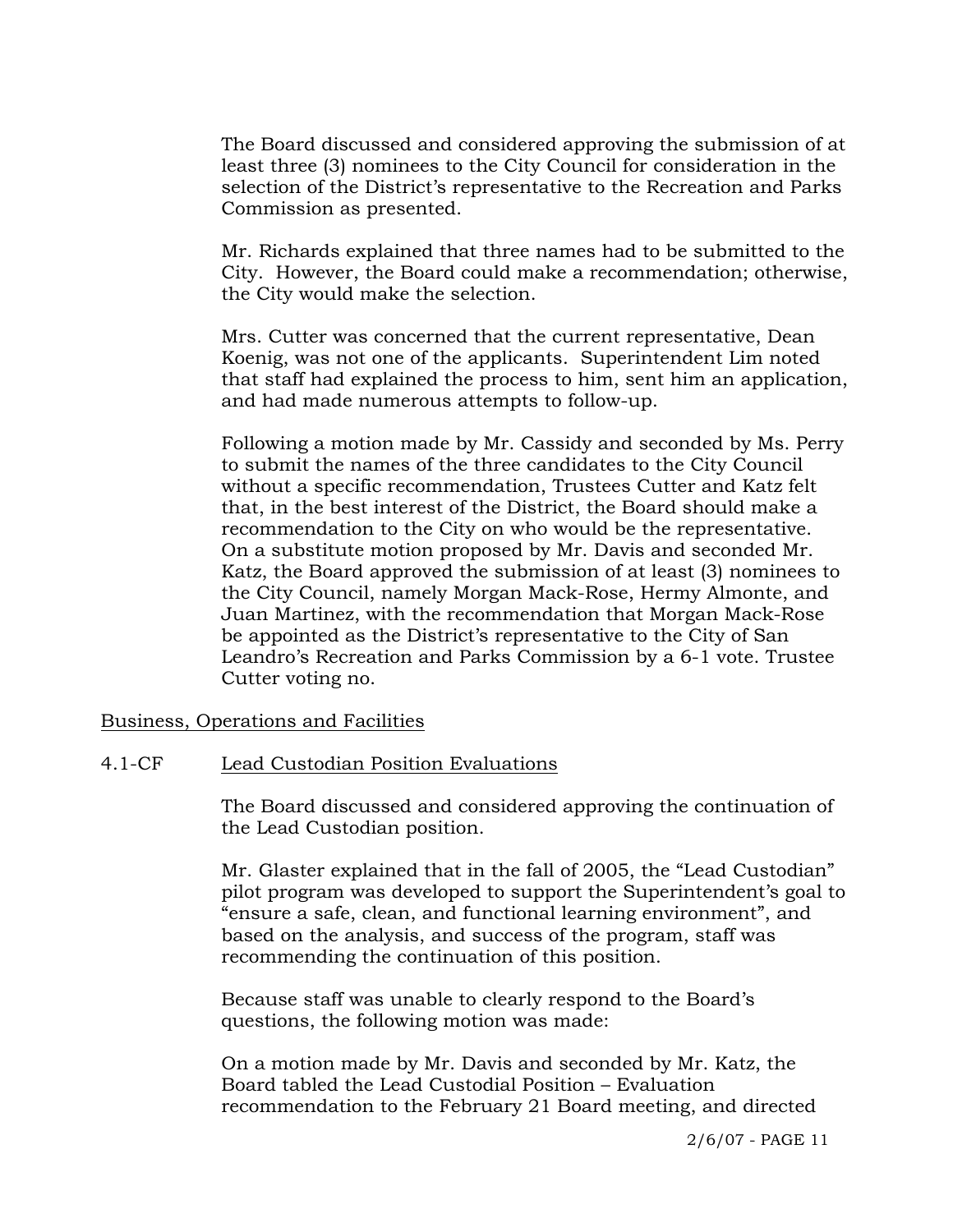The Board discussed and considered approving the submission of at least three (3) nominees to the City Council for consideration in the selection of the District's representative to the Recreation and Parks Commission as presented.

Mr. Richards explained that three names had to be submitted to the City. However, the Board could make a recommendation; otherwise, the City would make the selection.

Mrs. Cutter was concerned that the current representative, Dean Koenig, was not one of the applicants. Superintendent Lim noted that staff had explained the process to him, sent him an application, and had made numerous attempts to follow-up.

Following a motion made by Mr. Cassidy and seconded by Ms. Perry to submit the names of the three candidates to the City Council without a specific recommendation, Trustees Cutter and Katz felt that, in the best interest of the District, the Board should make a recommendation to the City on who would be the representative. On a substitute motion proposed by Mr. Davis and seconded Mr. Katz, the Board approved the submission of at least (3) nominees to the City Council, namely Morgan Mack-Rose, Hermy Almonte, and Juan Martinez, with the recommendation that Morgan Mack-Rose be appointed as the District's representative to the City of San Leandro's Recreation and Parks Commission by a 6-1 vote. Trustee Cutter voting no.

Business, Operations and Facilities

#### 4.1-CF Lead Custodian Position Evaluations

The Board discussed and considered approving the continuation of the Lead Custodian position.

Mr. Glaster explained that in the fall of 2005, the "Lead Custodian" pilot program was developed to support the Superintendent's goal to "ensure a safe, clean, and functional learning environment", and based on the analysis, and success of the program, staff was recommending the continuation of this position.

Because staff was unable to clearly respond to the Board's questions, the following motion was made:

On a motion made by Mr. Davis and seconded by Mr. Katz, the Board tabled the Lead Custodial Position – Evaluation recommendation to the February 21 Board meeting, and directed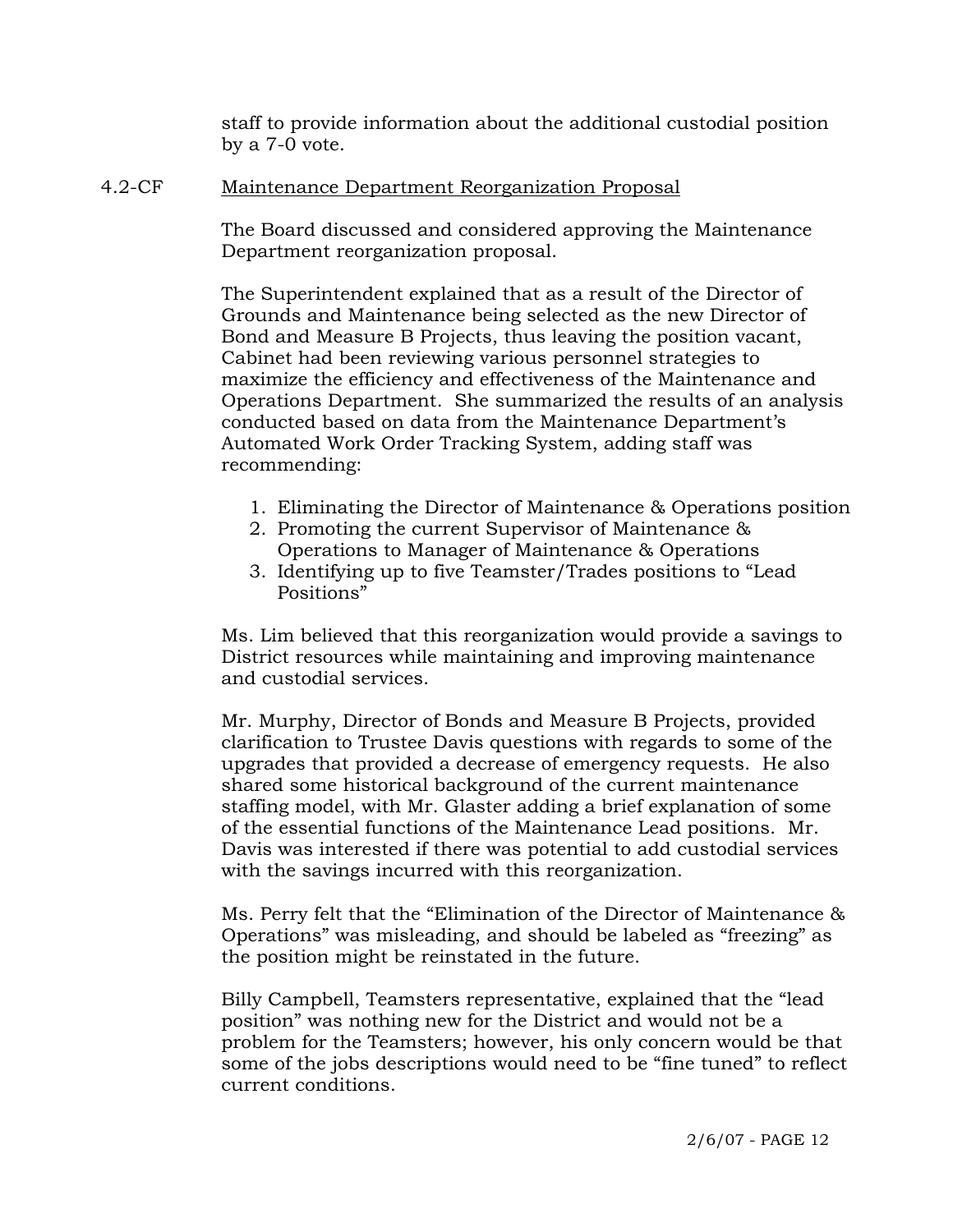staff to provide information about the additional custodial position by a 7-0 vote.

## 4.2-CF Maintenance Department Reorganization Proposal

The Board discussed and considered approving the Maintenance Department reorganization proposal.

The Superintendent explained that as a result of the Director of Grounds and Maintenance being selected as the new Director of Bond and Measure B Projects, thus leaving the position vacant, Cabinet had been reviewing various personnel strategies to maximize the efficiency and effectiveness of the Maintenance and Operations Department. She summarized the results of an analysis conducted based on data from the Maintenance Department's Automated Work Order Tracking System, adding staff was recommending:

- 1. Eliminating the Director of Maintenance & Operations position
- 2. Promoting the current Supervisor of Maintenance & Operations to Manager of Maintenance & Operations
- 3. Identifying up to five Teamster/Trades positions to "Lead Positions"

Ms. Lim believed that this reorganization would provide a savings to District resources while maintaining and improving maintenance and custodial services.

Mr. Murphy, Director of Bonds and Measure B Projects, provided clarification to Trustee Davis questions with regards to some of the upgrades that provided a decrease of emergency requests. He also shared some historical background of the current maintenance staffing model, with Mr. Glaster adding a brief explanation of some of the essential functions of the Maintenance Lead positions. Mr. Davis was interested if there was potential to add custodial services with the savings incurred with this reorganization.

Ms. Perry felt that the "Elimination of the Director of Maintenance & Operations" was misleading, and should be labeled as "freezing" as the position might be reinstated in the future.

Billy Campbell, Teamsters representative, explained that the "lead position" was nothing new for the District and would not be a problem for the Teamsters; however, his only concern would be that some of the jobs descriptions would need to be "fine tuned" to reflect current conditions.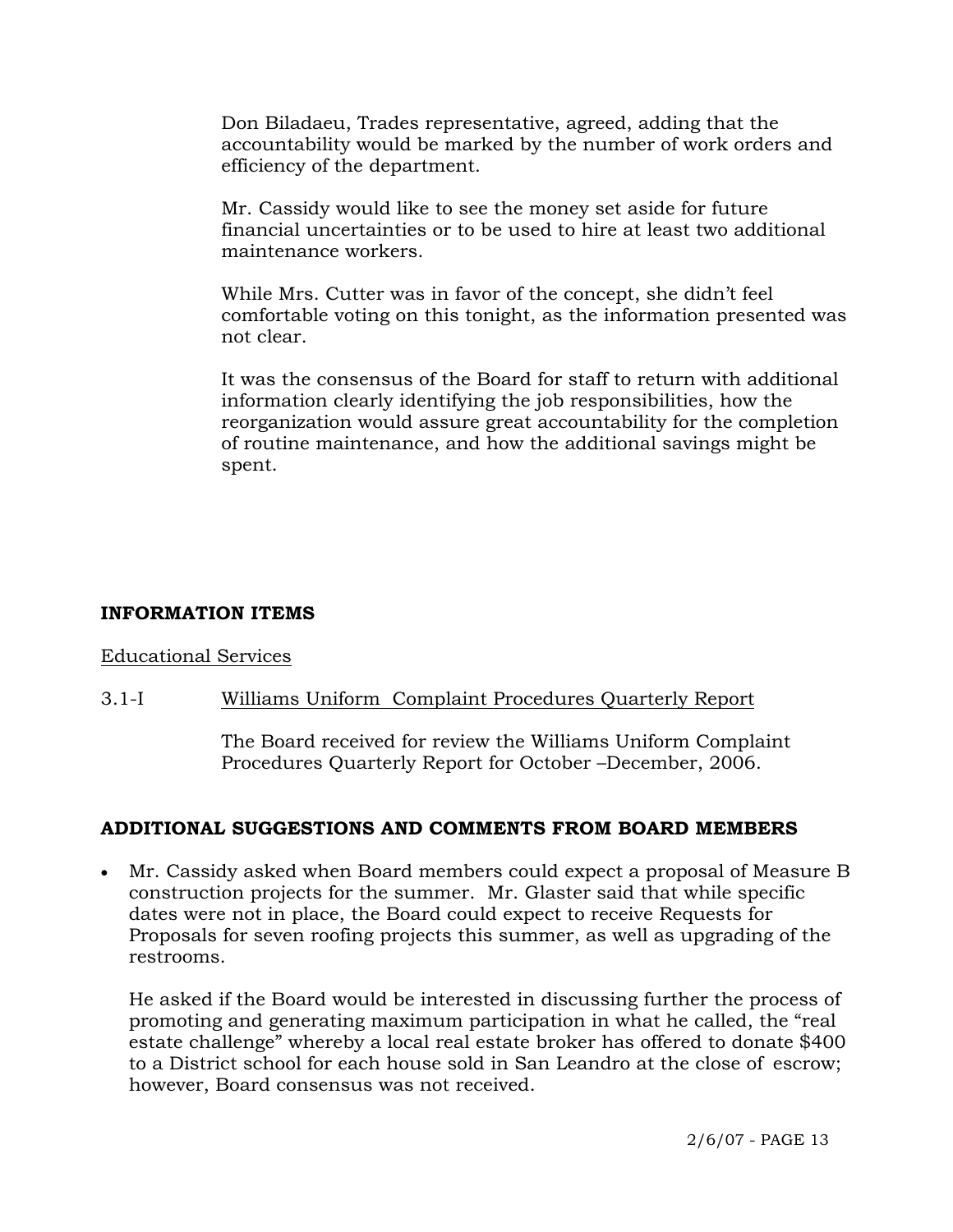Don Biladaeu, Trades representative, agreed, adding that the accountability would be marked by the number of work orders and efficiency of the department.

Mr. Cassidy would like to see the money set aside for future financial uncertainties or to be used to hire at least two additional maintenance workers.

While Mrs. Cutter was in favor of the concept, she didn't feel comfortable voting on this tonight, as the information presented was not clear.

It was the consensus of the Board for staff to return with additional information clearly identifying the job responsibilities, how the reorganization would assure great accountability for the completion of routine maintenance, and how the additional savings might be spent.

## **INFORMATION ITEMS**

## Educational Services

## 3.1-I Williams Uniform Complaint Procedures Quarterly Report

The Board received for review the Williams Uniform Complaint Procedures Quarterly Report for October –December, 2006.

## **ADDITIONAL SUGGESTIONS AND COMMENTS FROM BOARD MEMBERS**

• Mr. Cassidy asked when Board members could expect a proposal of Measure B construction projects for the summer. Mr. Glaster said that while specific dates were not in place, the Board could expect to receive Requests for Proposals for seven roofing projects this summer, as well as upgrading of the restrooms.

 He asked if the Board would be interested in discussing further the process of promoting and generating maximum participation in what he called, the "real estate challenge" whereby a local real estate broker has offered to donate \$400 to a District school for each house sold in San Leandro at the close of escrow; however, Board consensus was not received.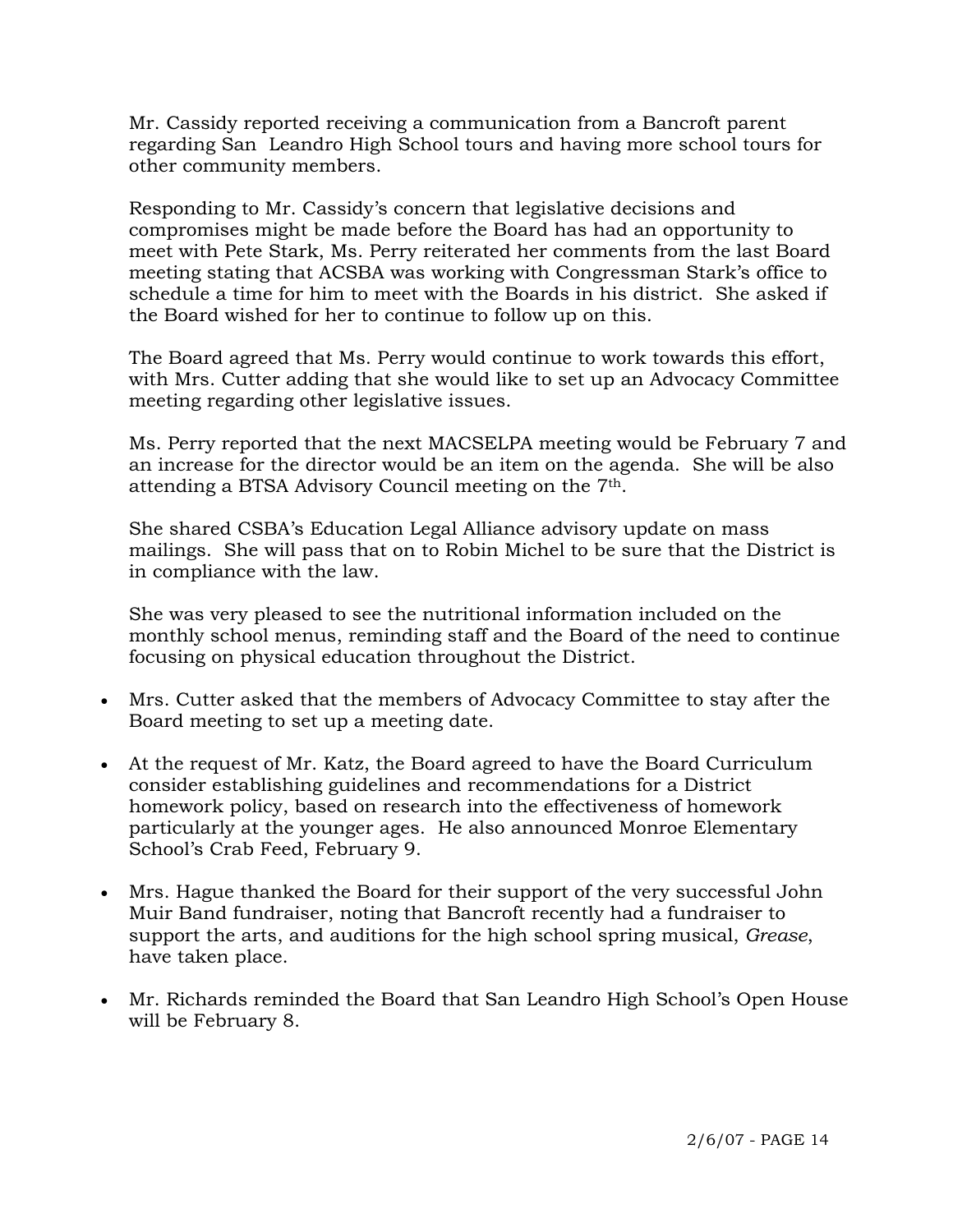Mr. Cassidy reported receiving a communication from a Bancroft parent regarding San Leandro High School tours and having more school tours for other community members.

 Responding to Mr. Cassidy's concern that legislative decisions and compromises might be made before the Board has had an opportunity to meet with Pete Stark, Ms. Perry reiterated her comments from the last Board meeting stating that ACSBA was working with Congressman Stark's office to schedule a time for him to meet with the Boards in his district. She asked if the Board wished for her to continue to follow up on this.

 The Board agreed that Ms. Perry would continue to work towards this effort, with Mrs. Cutter adding that she would like to set up an Advocacy Committee meeting regarding other legislative issues.

 Ms. Perry reported that the next MACSELPA meeting would be February 7 and an increase for the director would be an item on the agenda. She will be also attending a BTSA Advisory Council meeting on the 7th.

 She shared CSBA's Education Legal Alliance advisory update on mass mailings. She will pass that on to Robin Michel to be sure that the District is in compliance with the law.

 She was very pleased to see the nutritional information included on the monthly school menus, reminding staff and the Board of the need to continue focusing on physical education throughout the District.

- Mrs. Cutter asked that the members of Advocacy Committee to stay after the Board meeting to set up a meeting date.
- At the request of Mr. Katz, the Board agreed to have the Board Curriculum consider establishing guidelines and recommendations for a District homework policy, based on research into the effectiveness of homework particularly at the younger ages. He also announced Monroe Elementary School's Crab Feed, February 9.
- Mrs. Hague thanked the Board for their support of the very successful John Muir Band fundraiser, noting that Bancroft recently had a fundraiser to support the arts, and auditions for the high school spring musical, *Grease*, have taken place.
- Mr. Richards reminded the Board that San Leandro High School's Open House will be February 8.